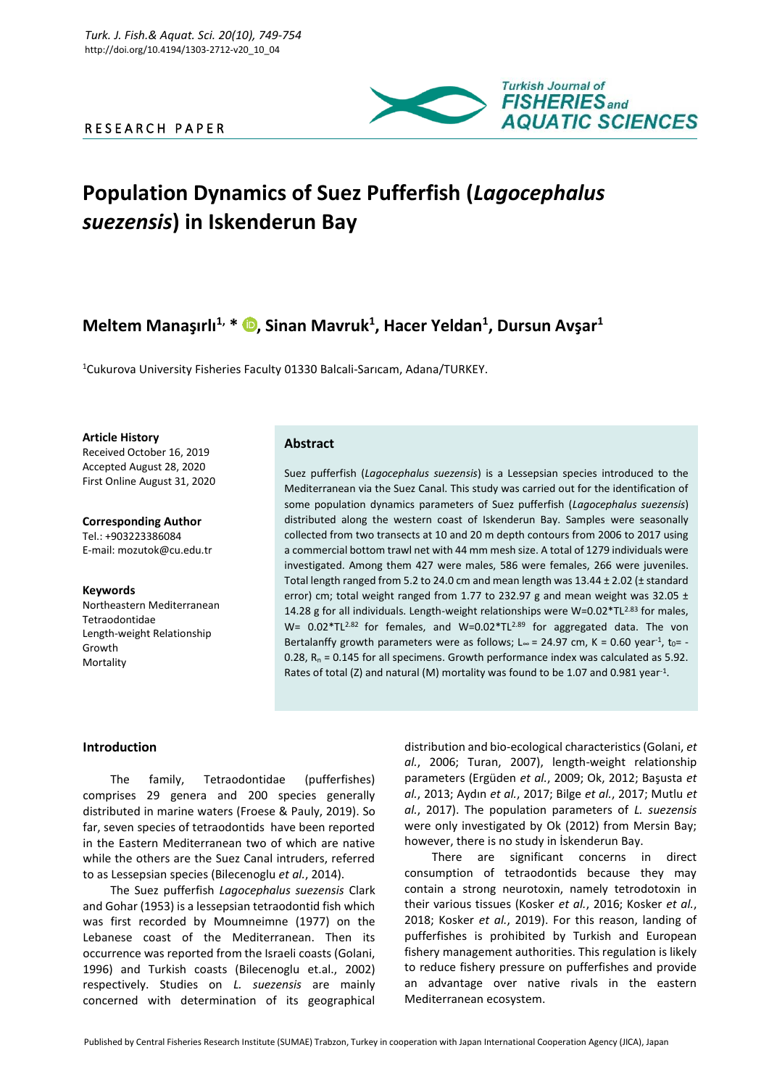R E S E A R C H P A P E R



# **Population Dynamics of Suez Pufferfish (***Lagocephalus suezensis***) in Iskenderun Bay**

# **Meltem Manaşırlı1, \* [,](https://orcid.org/0000-0002-0164-6693) Sinan Mavruk<sup>1</sup> , Hacer Yeldan<sup>1</sup> , Dursun Avşar<sup>1</sup>**

<sup>1</sup>Cukurova University Fisheries Faculty 01330 Balcali-Sarıcam, Adana/TURKEY.

**Article History** Received October 16, 2019 Accepted August 28, 2020 First Online August 31, 2020

**Corresponding Author** Tel.: +903223386084 E-mail: mozutok@cu.edu.tr

**Keywords** Northeastern Mediterranean Tetraodontidae Length-weight Relationship Growth Mortality

# **Abstract**

Suez pufferfish (*Lagocephalus suezensis*) is a Lessepsian species introduced to the Mediterranean via the Suez Canal. This study was carried out for the identification of some population dynamics parameters of Suez pufferfish (*Lagocephalus suezensis*) distributed along the western coast of Iskenderun Bay. Samples were seasonally collected from two transects at 10 and 20 m depth contours from 2006 to 2017 using a commercial bottom trawl net with 44 mm mesh size. A total of 1279 individuals were investigated. Among them 427 were males, 586 were females, 266 were juveniles. Total length ranged from 5.2 to 24.0 cm and mean length was  $13.44 \pm 2.02$  ( $\pm$  standard error) cm; total weight ranged from 1.77 to 232.97 g and mean weight was 32.05  $\pm$ 14.28 g for all individuals. Length-weight relationships were  $W=0.02*TL^{2.83}$  for males, W=  $0.02*TL^{2.82}$  for females, and W=0.02\*TL<sup>2.89</sup> for aggregated data. The von Bertalanffy growth parameters were as follows; L∞ = 24.97 cm, K = 0.60 year<sup>-1</sup>, t<sub>0</sub>= -0.28,  $R_n = 0.145$  for all specimens. Growth performance index was calculated as 5.92. Rates of total (Z) and natural (M) mortality was found to be 1.07 and 0.981 year<sup>-1</sup>.

## **Introduction**

The family, Tetraodontidae (pufferfishes) comprises 29 genera and 200 species generally distributed in marine waters (Froese & Pauly, 2019). So far, seven species of tetraodontids have been reported in the Eastern Mediterranean two of which are native while the others are the Suez Canal intruders, referred to as Lessepsian species (Bilecenoglu *et al.*, 2014).

The Suez pufferfish *Lagocephalus suezensis* Clark and Gohar (1953) is a lessepsian tetraodontid fish which was first recorded by Moumneimne (1977) on the Lebanese coast of the Mediterranean. Then its occurrence was reported from the Israeli coasts (Golani, 1996) and Turkish coasts (Bilecenoglu et.al., 2002) respectively. Studies on *L. suezensis* are mainly concerned with determination of its geographical

distribution and bio-ecological characteristics (Golani, *et al.*, 2006; Turan, 2007), length-weight relationship parameters (Ergüden *et al.*, 2009; Ok, 2012; Başusta *et al.*, 2013; Aydın *et al.*, 2017; Bilge *et al.*, 2017; Mutlu *et al.*, 2017). The population parameters of *L. suezensis* were only investigated by Ok (2012) from Mersin Bay; however, there is no study in İskenderun Bay.

There are significant concerns in direct consumption of tetraodontids because they may contain a strong neurotoxin, namely tetrodotoxin in their various tissues (Kosker *et al.*, 2016; Kosker *et al.*, 2018; Kosker *et al.*, 2019). For this reason, landing of pufferfishes is prohibited by Turkish and European fishery management authorities. This regulation is likely to reduce fishery pressure on pufferfishes and provide an advantage over native rivals in the eastern Mediterranean ecosystem.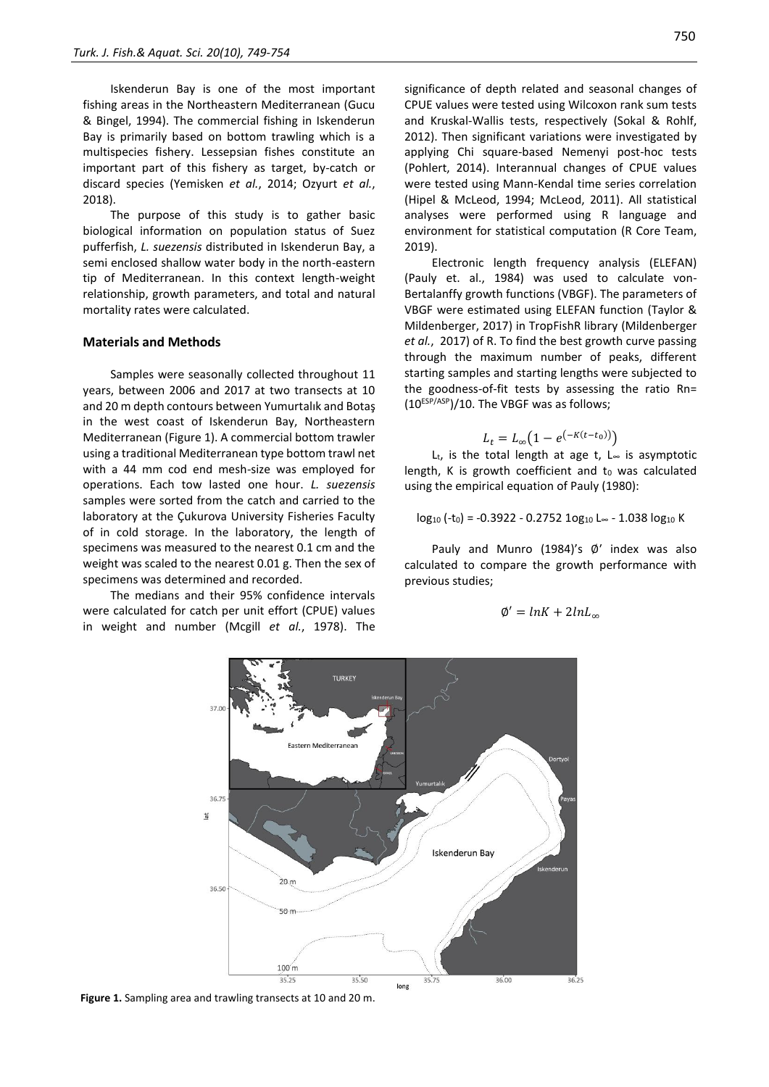Iskenderun Bay is one of the most important fishing areas in the Northeastern Mediterranean (Gucu & Bingel, 1994). The commercial fishing in Iskenderun Bay is primarily based on bottom trawling which is a multispecies fishery. Lessepsian fishes constitute an important part of this fishery as target, by-catch or discard species (Yemisken *et al.*, 2014; Ozyurt *et al.*, 2018).

The purpose of this study is to gather basic biological information on population status of Suez pufferfish, *L. suezensis* distributed in Iskenderun Bay, a semi enclosed shallow water body in the north-eastern tip of Mediterranean. In this context length-weight relationship, growth parameters, and total and natural mortality rates were calculated.

#### **Materials and Methods**

Samples were seasonally collected throughout 11 years, between 2006 and 2017 at two transects at 10 and 20 m depth contours between Yumurtalık and Botaş in the west coast of Iskenderun Bay, Northeastern Mediterranean (Figure 1). A commercial bottom trawler using a traditional Mediterranean type bottom trawl net with a 44 mm cod end mesh-size was employed for operations. Each tow lasted one hour. *L. suezensis* samples were sorted from the catch and carried to the laboratory at the Çukurova University Fisheries Faculty of in cold storage. In the laboratory, the length of specimens was measured to the nearest 0.1 cm and the weight was scaled to the nearest 0.01 g. Then the sex of specimens was determined and recorded.

The medians and their 95% confidence intervals were calculated for catch per unit effort (CPUE) values in weight and number (Mcgill *et al.*, 1978). The

significance of depth related and seasonal changes of CPUE values were tested using Wilcoxon rank sum tests and Kruskal-Wallis tests, respectively (Sokal & Rohlf, 2012). Then significant variations were investigated by applying Chi square-based Nemenyi post-hoc tests (Pohlert, 2014). Interannual changes of CPUE values were tested using Mann-Kendal time series correlation (Hipel & McLeod, 1994; McLeod, 2011). All statistical analyses were performed using R language and environment for statistical computation (R Core Team, 2019).

Electronic length frequency analysis (ELEFAN) (Pauly et. al., 1984) was used to calculate von-Bertalanffy growth functions (VBGF). The parameters of VBGF were estimated using ELEFAN function (Taylor & Mildenberger, 2017) in TropFishR library (Mildenberger *et al.*, 2017) of R. To find the best growth curve passing through the maximum number of peaks, different starting samples and starting lengths were subjected to the goodness-of-fit tests by assessing the ratio Rn= (10ESP/ASP)/10. The VBGF was as follows;

$$
L_t = L_{\infty} \big( 1 - e^{(-K(t - t_0))} \big)
$$

L<sub>t</sub>, is the total length at age t, L $∞$  is asymptotic length,  $K$  is growth coefficient and  $t_0$  was calculated using the empirical equation of Pauly (1980):

$$
log_{10}(-t_0) = -0.3922 - 0.2752 10g_{10} L_{\infty} - 1.038 log_{10} K
$$

Pauly and Munro (1984)'s ∅′ index was also calculated to compare the growth performance with previous studies;

$$
\emptyset' = lnK + 2lnL_{\infty}
$$



**Figure 1.** Sampling area and trawling transects at 10 and 20 m.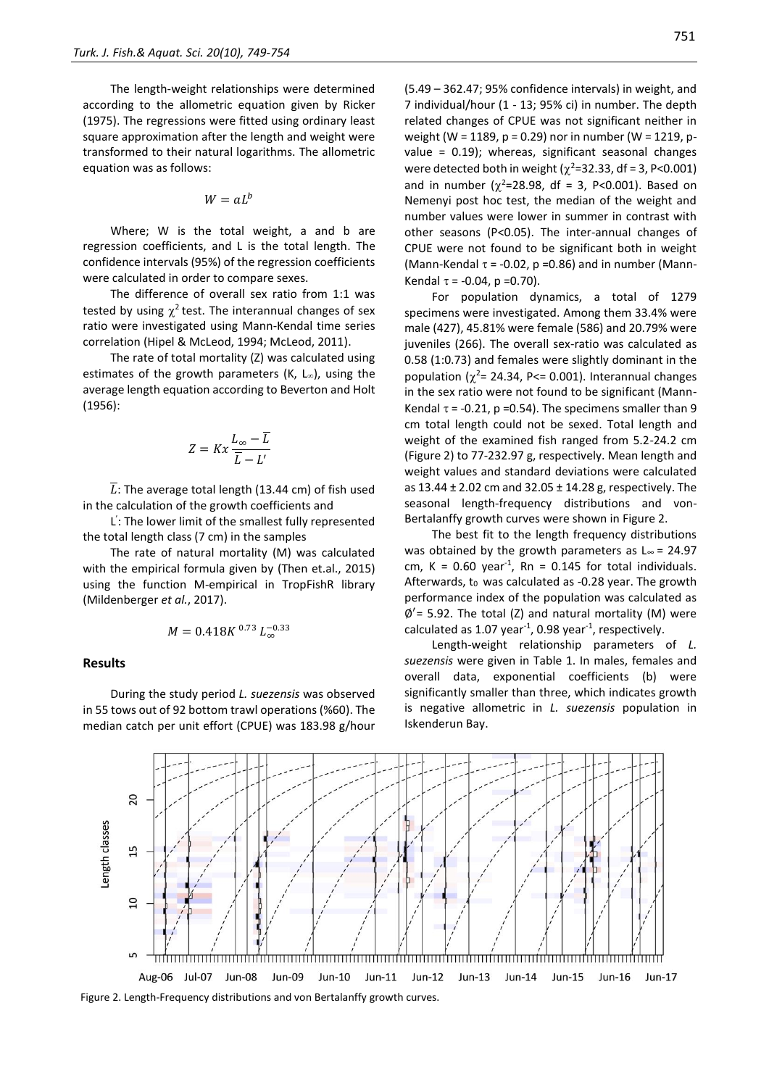The length-weight relationships were determined according to the allometric equation given by Ricker (1975). The regressions were fitted using ordinary least square approximation after the length and weight were transformed to their natural logarithms. The allometric equation was as follows:

$$
W = aL^b
$$

Where; W is the total weight, a and b are regression coefficients, and L is the total length. The confidence intervals (95%) of the regression coefficients were calculated in order to compare sexes.

The difference of overall sex ratio from 1:1 was tested by using  $\chi^2$  test. The interannual changes of sex ratio were investigated using Mann-Kendal time series correlation (Hipel & McLeod, 1994; McLeod, 2011).

The rate of total mortality (Z) was calculated using estimates of the growth parameters (K,  $L_{\infty}$ ), using the average length equation according to Beverton and Holt (1956):

$$
Z = Kx \frac{L_{\infty} - \overline{L}}{\overline{L} - L'}
$$

 $\overline{L}$ : The average total length (13.44 cm) of fish used in the calculation of the growth coefficients and

L ' : The lower limit of the smallest fully represented the total length class (7 cm) in the samples

The rate of natural mortality (M) was calculated with the empirical formula given by (Then et.al., 2015) using the function M-empirical in TropFishR library (Mildenberger *et al.*, 2017).

$$
M = 0.418K^{0.73} L_{\infty}^{-0.33}
$$

#### **Results**

During the study period *L. suezensis* was observed in 55 tows out of 92 bottom trawl operations (%60). The median catch per unit effort (CPUE) was 183.98 g/hour (5.49 – 362.47; 95% confidence intervals) in weight, and 7 individual/hour (1 - 13; 95% ci) in number. The depth related changes of CPUE was not significant neither in weight (W = 1189, p = 0.29) nor in number (W = 1219, pvalue = 0.19); whereas, significant seasonal changes were detected both in weight ( $\chi^2$ =32.33, df = 3, P<0.001) and in number ( $\chi^2$ =28.98, df = 3, P<0.001). Based on Nemenyi post hoc test, the median of the weight and number values were lower in summer in contrast with other seasons (P<0.05). The inter-annual changes of CPUE were not found to be significant both in weight (Mann-Kendal  $\tau$  = -0.02, p =0.86) and in number (Mann-Kendal  $\tau$  = -0.04, p =0.70).

For population dynamics, a total of 1279 specimens were investigated. Among them 33.4% were male (427), 45.81% were female (586) and 20.79% were juveniles (266). The overall sex-ratio was calculated as 0.58 (1:0.73) and females were slightly dominant in the population ( $\chi^2$ = 24.34, P<= 0.001). Interannual changes in the sex ratio were not found to be significant (Mann-Kendal  $\tau$  = -0.21, p =0.54). The specimens smaller than 9 cm total length could not be sexed. Total length and weight of the examined fish ranged from 5.2-24.2 cm (Figure 2) to 77-232.97 g, respectively. Mean length and weight values and standard deviations were calculated as 13.44 ± 2.02 cm and 32.05 ± 14.28 g, respectively. The seasonal length-frequency distributions and von-Bertalanffy growth curves were shown in Figure 2.

The best fit to the length frequency distributions was obtained by the growth parameters as  $L \approx$  = 24.97 cm,  $K = 0.60$  year<sup>-1</sup>, Rn = 0.145 for total individuals. Afterwards, to was calculated as -0.28 year. The growth performance index of the population was calculated as ∅ ′= 5.92. The total (Z) and natural mortality (M) were calculated as 1.07 year<sup>-1</sup>, 0.98 year<sup>-1</sup>, respectively.

Length-weight relationship parameters of *L. suezensis* were given in Table 1. In males, females and overall data, exponential coefficients (b) were significantly smaller than three, which indicates growth is negative allometric in *L. suezensis* population in Iskenderun Bay.



Figure 2. Length-Frequency distributions and von Bertalanffy growth curves.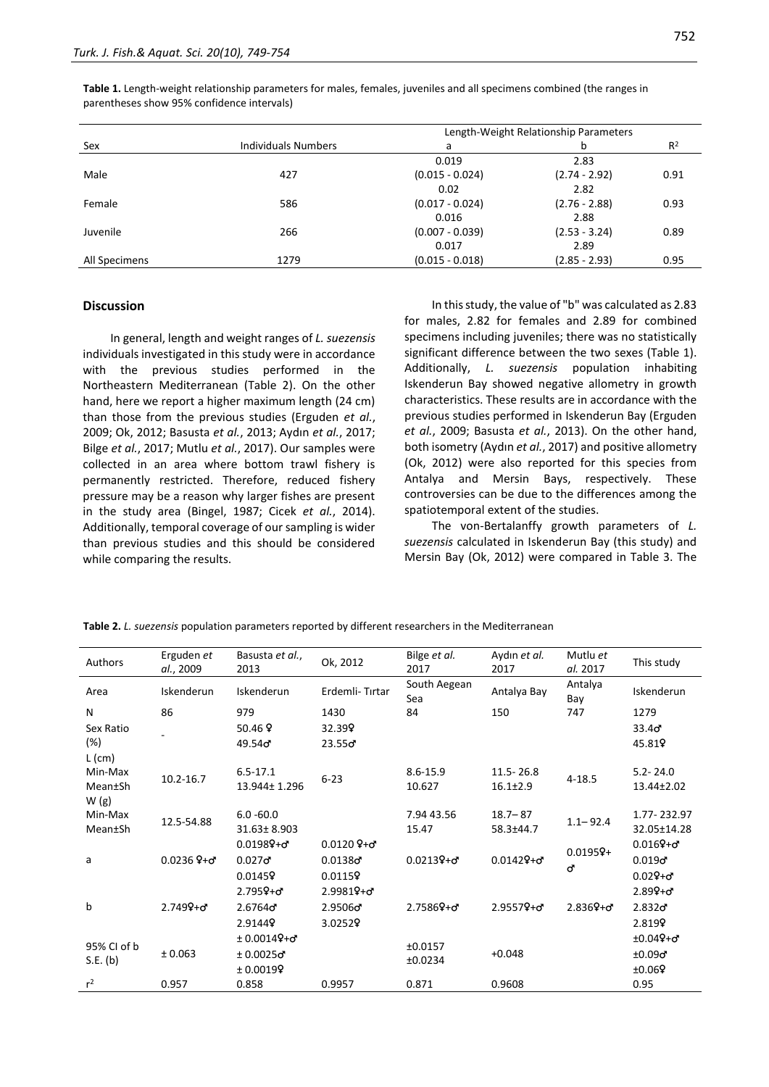|               | <b>Individuals Numbers</b> | Length-Weight Relationship Parameters |                 |                |  |  |
|---------------|----------------------------|---------------------------------------|-----------------|----------------|--|--|
| Sex           |                            | a                                     | b               | R <sup>2</sup> |  |  |
|               |                            | 0.019                                 | 2.83            |                |  |  |
| Male          | 427                        | $(0.015 - 0.024)$                     | $(2.74 - 2.92)$ | 0.91           |  |  |
|               |                            | 0.02                                  | 2.82            |                |  |  |
| Female        | 586                        | $(0.017 - 0.024)$                     | $(2.76 - 2.88)$ | 0.93           |  |  |
|               |                            | 0.016                                 | 2.88            |                |  |  |
| Juvenile      | 266                        | $(0.007 - 0.039)$                     | $(2.53 - 3.24)$ | 0.89           |  |  |
|               |                            | 0.017                                 | 2.89            |                |  |  |
| All Specimens | 1279                       | $(0.015 - 0.018)$                     | $(2.85 - 2.93)$ | 0.95           |  |  |

**Table 1.** Length-weight relationship parameters for males, females, juveniles and all specimens combined (the ranges in parentheses show 95% confidence intervals)

#### **Discussion**

In general, length and weight ranges of *L. suezensis* individuals investigated in this study were in accordance with the previous studies performed in the Northeastern Mediterranean (Table 2). On the other hand, here we report a higher maximum length (24 cm) than those from the previous studies (Erguden *et al.*, 2009; Ok, 2012; Basusta *et al.*, 2013; Aydın *et al.*, 2017; Bilge *et al.*, 2017; Mutlu *et al.*, 2017). Our samples were collected in an area where bottom trawl fishery is permanently restricted. Therefore, reduced fishery pressure may be a reason why larger fishes are present in the study area (Bingel, 1987; Cicek *et al.*, 2014). Additionally, temporal coverage of our sampling is wider than previous studies and this should be considered while comparing the results.

In this study, the value of "b" was calculated as 2.83 for males, 2.82 for females and 2.89 for combined specimens including juveniles; there was no statistically significant difference between the two sexes (Table 1). Additionally, *L. suezensis* population inhabiting Iskenderun Bay showed negative allometry in growth characteristics. These results are in accordance with the previous studies performed in Iskenderun Bay (Erguden *et al.*, 2009; Basusta *et al.*, 2013). On the other hand, both isometry (Aydın *et al.*, 2017) and positive allometry (Ok, 2012) were also reported for this species from Antalya and Mersin Bays, respectively. These controversies can be due to the differences among the spatiotemporal extent of the studies.

The von-Bertalanffy growth parameters of *L. suezensis* calculated in Iskenderun Bay (this study) and Mersin Bay (Ok, 2012) were compared in Table 3. The

| Authors                                | Erguden et<br>al., 2009 | Basusta et al.,<br>2013                                         | Ok, 2012                                                                 | Bilge et al.<br>2017   | Aydın et al.<br>2017          | Mutlu et<br>al. 2017 | This study                                                                      |
|----------------------------------------|-------------------------|-----------------------------------------------------------------|--------------------------------------------------------------------------|------------------------|-------------------------------|----------------------|---------------------------------------------------------------------------------|
| Area                                   | Iskenderun              | Iskenderun                                                      | Erdemli-Tırtar                                                           | South Aegean<br>Sea    | Antalya Bay                   | Antalya<br>Bay       | Iskenderun                                                                      |
| N                                      | 86                      | 979                                                             | 1430                                                                     | 84                     | 150                           | 747                  | 1279                                                                            |
| Sex Ratio                              |                         | 50.46 $9$                                                       | 32.399                                                                   |                        |                               |                      | 33.4 <sub>o</sub>                                                               |
| $(\%)$                                 |                         | 49.54ď                                                          | $23.55$ ơ                                                                |                        |                               |                      | 45.819                                                                          |
| $L$ (cm)<br>Min-Max<br>Mean±Sh<br>W(g) | 10.2-16.7               | $6.5 - 17.1$<br>13.944± 1.296                                   | $6 - 23$                                                                 | $8.6 - 15.9$<br>10.627 | 11.5 - 26.8<br>$16.1{\pm}2.9$ | $4 - 18.5$           | $5.2 - 24.0$<br>13.44±2.02                                                      |
| Min-Max<br>Mean±Sh                     | 12.5-54.88              | $6.0 - 60.0$<br>31.63±8.903                                     |                                                                          | 7.94 43.56<br>15.47    | $18.7 - 87$<br>58.3±44.7      | $1.1 - 92.4$         | 1.77-232.97<br>32.05±14.28                                                      |
| a                                      | $0.0236$ $9 + 5$        | $0.01989 + \sigma$<br>$0.027$ ď<br>0.01459<br>$2.7959 + \sigma$ | $0.0120$ $9 + 5$<br>0.0138 <sub>o</sub><br>0.01159<br>$2.99819 + \sigma$ | $0.02139 + \sigma$     | $0.01429 + \sigma$            | $0.01959+$<br>ď      | $0.0169 + \sigma$<br>0.019 <sub>o</sub><br>$0.029 + \sigma$<br>$2.899 + \sigma$ |
| b                                      | $2.7499 + \sigma$       | 2.6764 <sub>o</sub><br>2.91449                                  | 2.95060<br>3.02529                                                       | $2.75869 + \sigma$     | $2.95579 + \sigma$            | $2.8369 + \sigma$    | 2.832 <sub>o</sub><br>2.8199                                                    |
| 95% CI of b<br>S.E. (b)                | ± 0.063                 | $± 0.00149 + σ$<br>$± 0.0025$ ď<br>± 0.00199                    |                                                                          | ±0.0157<br>±0.0234     | $+0.048$                      |                      | $±0.049 + σ$<br>$±0.09$ ď<br>±0.069                                             |
| r <sup>2</sup>                         | 0.957                   | 0.858                                                           | 0.9957                                                                   | 0.871                  | 0.9608                        |                      | 0.95                                                                            |

**Table 2.** *L. suezensis* population parameters reported by different researchers in the Mediterranean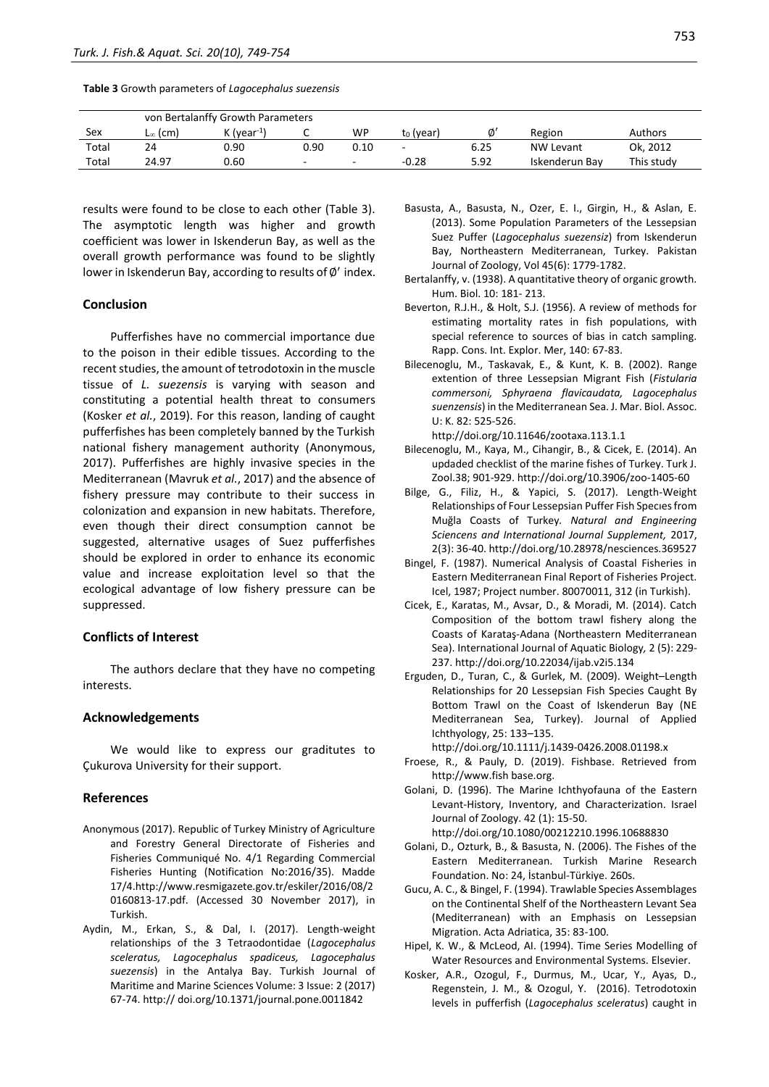**Table 3** Growth parameters of *Lagocephalus suezensis*

|       | von Bertalanffy Growth Parameters |                         |      |      |                       |      |                  |            |
|-------|-----------------------------------|-------------------------|------|------|-----------------------|------|------------------|------------|
| Sex   | L∞ (cm)                           | K (vear <sup>-1</sup> ) |      | WP   | t <sub>0</sub> (year) | Ø'   | Region           | Authors    |
| Total | 24                                | 0.90                    | 0.90 | 0.10 | -                     | 6.25 | <b>NW Levant</b> | Ok, 2012   |
| Total | 24.97                             | 0.60                    | -    |      | $-0.28$               | 5.92 | Iskenderun Bav   | This study |

results were found to be close to each other (Table 3). The asymptotic length was higher and growth coefficient was lower in Iskenderun Bay, as well as the overall growth performance was found to be slightly lower in Iskenderun Bay, according to results of  $\phi'$  index.

### **Conclusion**

Pufferfishes have no commercial importance due to the poison in their edible tissues. According to the recent studies, the amount of tetrodotoxin in the muscle tissue of *L. suezensis* is varying with season and constituting a potential health threat to consumers (Kosker *et al.*, 2019). For this reason, landing of caught pufferfishes has been completely banned by the Turkish national fishery management authority (Anonymous, 2017). Pufferfishes are highly invasive species in the Mediterranean (Mavruk *et al.*, 2017) and the absence of fishery pressure may contribute to their success in colonization and expansion in new habitats. Therefore, even though their direct consumption cannot be suggested, alternative usages of Suez pufferfishes should be explored in order to enhance its economic value and increase exploitation level so that the ecological advantage of low fishery pressure can be suppressed.

#### **Conflicts of Interest**

The authors declare that they have no competing interests.

#### **Acknowledgements**

We would like to express our graditutes to Çukurova University for their support.

### **References**

- Anonymous (2017). Republic of Turkey Ministry of Agriculture and Forestry General Directorate of Fisheries and Fisheries Communiqué No. 4/1 Regarding Commercial Fisheries Hunting (Notification No:2016/35). Madde 17/4.http://www.resmigazete.gov.tr/eskiler/2016/08/2 0160813-17.pdf. (Accessed 30 November 2017), in Turkish.
- Aydin, M., Erkan, S., & Dal, I. (2017). Length-weight relationships of the 3 Tetraodontidae (*Lagocephalus sceleratus, Lagocephalus spadiceus, Lagocephalus suezensis*) in the Antalya Bay. Turkish Journal of Maritime and Marine Sciences Volume: 3 Issue: 2 (2017) 67-74. http:// doi.org/10.1371/journal.pone.0011842
- Basusta, A., Basusta, N., Ozer, E. I., Girgin, H., & Aslan, E. (2013). Some Population Parameters of the Lessepsian Suez Puffer (*Lagocephalus suezensiz*) from Iskenderun Bay, Northeastern Mediterranean, Turkey. Pakistan Journal of Zoology, Vol 45(6): 1779-1782.
- Bertalanffy, v. (1938). A quantitative theory of organic growth. Hum. Biol. 10: 181- 213.
- Beverton, R.J.H., & Holt, S.J. (1956). A review of methods for estimating mortality rates in fish populations, with special reference to sources of bias in catch sampling. Rapp. Cons. Int. Explor. Mer, 140: 67-83.
- Bilecenoglu, M., Taskavak, E., & Kunt, K. B. (2002). Range extention of three Lessepsian Migrant Fish (*Fistularia commersoni, Sphyraena flavicaudata, Lagocephalus suenzensis*) in the Mediterranean Sea. J. Mar. Biol. Assoc. U: K. 82: 525-526.

http://doi.org/10.11646/zootaxa.113.1.1

- Bilecenoglu, M., Kaya, M., Cihangir, B., & Cicek, E. (2014). An updaded checklist of the marine fishes of Turkey. Turk J. Zool.38; 901-929. http://doi.org/10.3906/zoo-1405-60
- Bilge, G., Filiz, H., & Yapici, S. (2017). Length-Weight Relationships of Four Lessepsian Puffer Fish Specıes from Muğla Coasts of Turkey*. Natural and Engineering Sciencens and International Journal Supplement,* 2017, 2(3): 36-40. http://doi.org/10.28978/nesciences.369527
- Bingel, F. (1987). Numerical Analysis of Coastal Fisheries in Eastern Mediterranean Final Report of Fisheries Project. Icel, 1987; Project number. 80070011, 312 (in Turkish).
- Cicek, E., Karatas, M., Avsar, D., & Moradi, M. (2014). Catch Composition of the bottom trawl fishery along the Coasts of Karataş-Adana (Northeastern Mediterranean Sea). International Journal of Aquatic Biology*,* 2 (5): 229- 237. http://doi.org/10.22034/ijab.v2i5.134
- Erguden, D., Turan, C., & Gurlek, M. (2009). Weight–Length Relationships for 20 Lessepsian Fish Species Caught By Bottom Trawl on the Coast of Iskenderun Bay (NE Mediterranean Sea, Turkey). Journal of Applied Ichthyology, 25: 133–135.

http://doi.org/10.1111/j.1439-0426.2008.01198.x

- Froese, R., & Pauly, D. (2019). Fishbase. Retrieved from http://www.fish base.org.
- Golani, D. (1996). The Marine Ichthyofauna of the Eastern Levant-History, Inventory, and Characterization. Israel Journal of Zoology. 42 (1): 15-50.
	- http://doi.org/10.1080/00212210.1996.10688830
- Golani, D., Ozturk, B., & Basusta, N. (2006). The Fishes of the Eastern Mediterranean. Turkish Marine Research Foundation. No: 24, İstanbul-Türkiye. 260s.
- Gucu, A. C., & Bingel, F. (1994). Trawlable Species Assemblages on the Continental Shelf of the Northeastern Levant Sea (Mediterranean) with an Emphasis on Lessepsian Migration. Acta Adriatica, 35: 83-100.
- Hipel, K. W., & McLeod, AI. (1994). Time Series Modelling of Water Resources and Environmental Systems. Elsevier.
- Kosker, A.R., Ozogul, F., Durmus, M., Ucar, Y., Ayas, D., Regenstein, J. M., & Ozogul, Y. (2016). Tetrodotoxin levels in pufferfish (*Lagocephalus sceleratus*) caught in